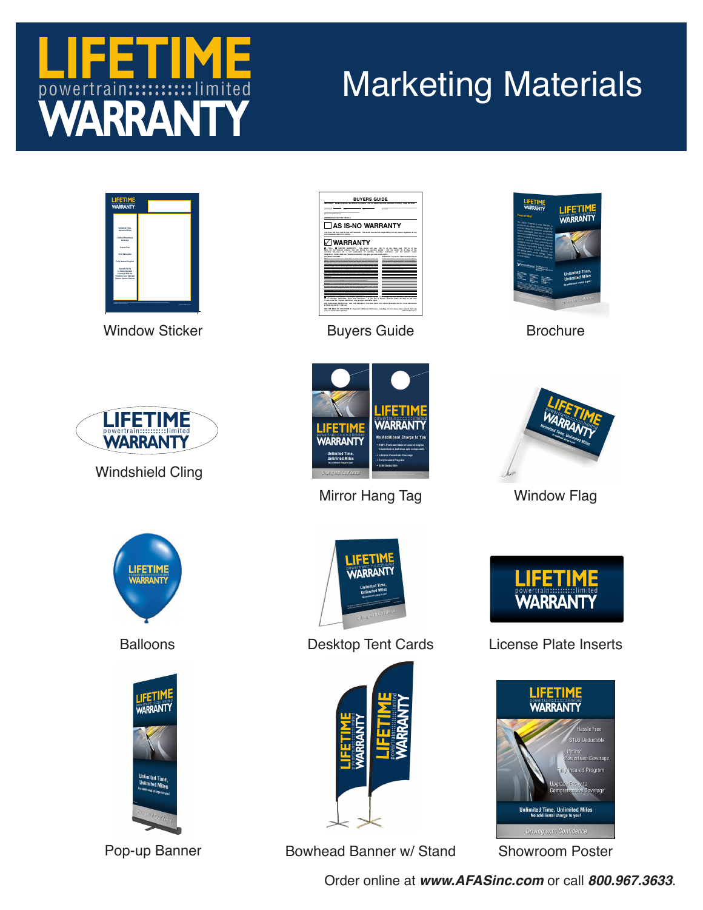## **WARRANTY** powertrain:::::::::::limited **LIFETIME**

## Marketing Materials



Window Sticker



Windshield Cling



Buyers Guide Brochure

**LIFETIME**<br>WARRANTY **No Additional Charge to You • 100% Parts and labor of covered engine, transmission,and drive axle components • Lifetime Powertrain Coverage • Fully Insured Program • \$100 Deductible**





Mirror Hang Tag Window Flag



Balloons





**Unlimited Time, Unlimited Miles**

<u>IFETIME</u><br>VARRANTY

Desktop Tent Cards



Pop-up Banner **Bowhead Banner w/ Stand** Showroom Poster



## License Plate Inserts



Order online at *www.AFASinc.com* or call *800.967.3633*.